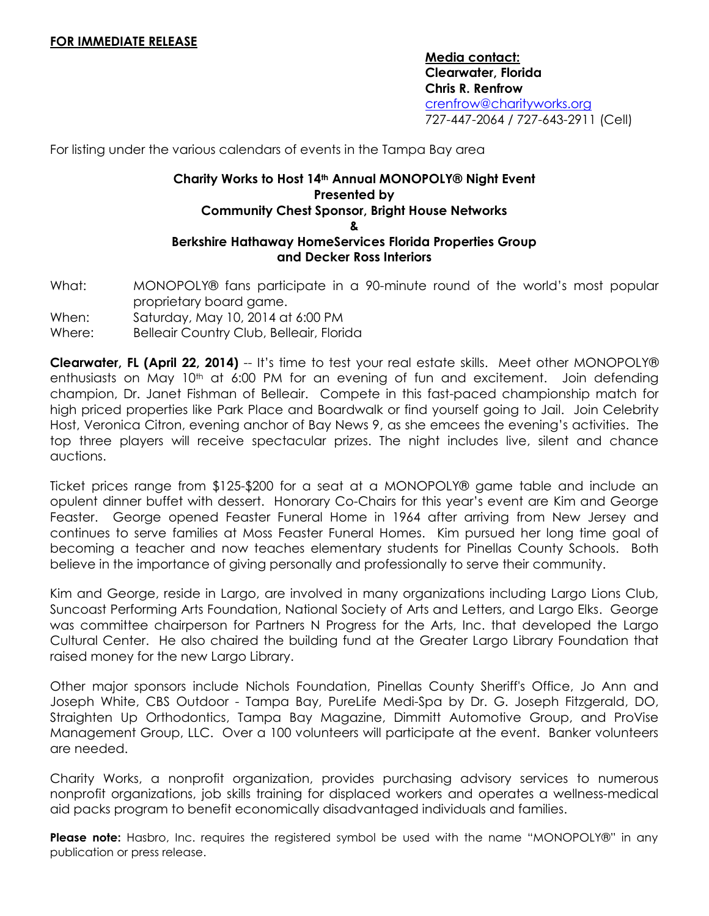**Media contact: Clearwater, Florida Chris R. Renfrow** [crenfrow@charityworks.org](mailto:crenfrow@charityworks.org) 727-447-2064 / 727-643-2911 (Cell)

For listing under the various calendars of events in the Tampa Bay area

## **Charity Works to Host 14th Annual MONOPOLY® Night Event Presented by Community Chest Sponsor, Bright House Networks & Berkshire Hathaway HomeServices Florida Properties Group and Decker Ross Interiors**

What: MONOPOLY® fans participate in a 90-minute round of the world's most popular proprietary board game.

When: Saturday, May 10, 2014 at 6:00 PM

Where: Belleair Country Club, Belleair, Florida

**Clearwater, FL (April 22, 2014)** -- It's time to test your real estate skills. Meet other MONOPOLY® enthusiasts on May 10th at 6:00 PM for an evening of fun and excitement. Join defending champion, Dr. Janet Fishman of Belleair. Compete in this fast-paced championship match for high priced properties like Park Place and Boardwalk or find yourself going to Jail. Join Celebrity Host, Veronica Citron, evening anchor of Bay News 9, as she emcees the evening's activities. The top three players will receive spectacular prizes. The night includes live, silent and chance auctions.

Ticket prices range from \$125-\$200 for a seat at a MONOPOLY® game table and include an opulent dinner buffet with dessert. Honorary Co-Chairs for this year's event are Kim and George Feaster. George opened Feaster Funeral Home in 1964 after arriving from New Jersey and continues to serve families at Moss Feaster Funeral Homes. Kim pursued her long time goal of becoming a teacher and now teaches elementary students for Pinellas County Schools. Both believe in the importance of giving personally and professionally to serve their community.

Kim and George, reside in Largo, are involved in many organizations including Largo Lions Club, Suncoast Performing Arts Foundation, National Society of Arts and Letters, and Largo Elks. George was committee chairperson for Partners N Progress for the Arts, Inc. that developed the Largo Cultural Center. He also chaired the building fund at the Greater Largo Library Foundation that raised money for the new Largo Library.

Other major sponsors include Nichols Foundation, Pinellas County Sheriff's Office, Jo Ann and Joseph White, CBS Outdoor - Tampa Bay, PureLife Medi-Spa by Dr. G. Joseph Fitzgerald, DO, Straighten Up Orthodontics, Tampa Bay Magazine, Dimmitt Automotive Group, and ProVise Management Group, LLC. Over a 100 volunteers will participate at the event. Banker volunteers are needed.

Charity Works, a nonprofit organization, provides purchasing advisory services to numerous nonprofit organizations, job skills training for displaced workers and operates a wellness-medical aid packs program to benefit economically disadvantaged individuals and families.

**Please note:** Hasbro, Inc. requires the registered symbol be used with the name "MONOPOLY®" in any publication or press release.